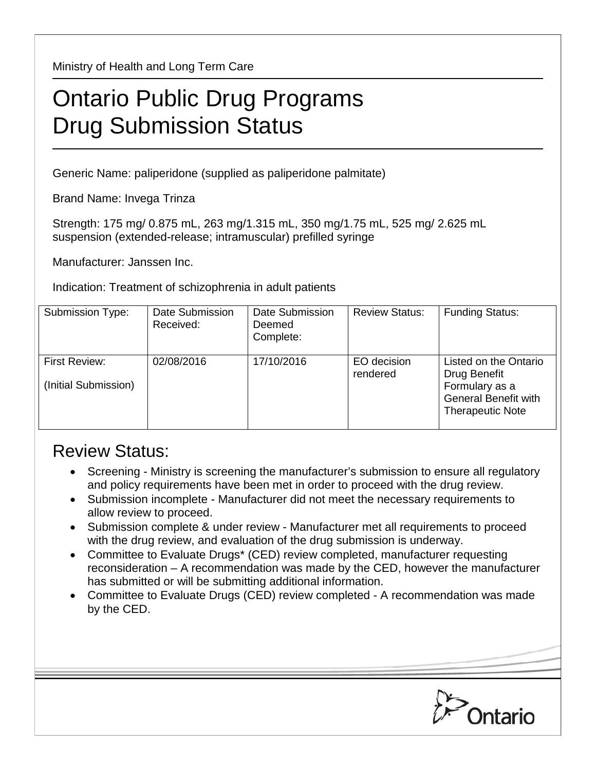Ministry of Health and Long Term Care

## Ontario Public Drug Programs Drug Submission Status

Generic Name: paliperidone (supplied as paliperidone palmitate)

Brand Name: Invega Trinza

Strength: 175 mg/ 0.875 mL, 263 mg/1.315 mL, 350 mg/1.75 mL, 525 mg/ 2.625 mL suspension (extended-release; intramuscular) prefilled syringe

Manufacturer: Janssen Inc.

Indication: Treatment of schizophrenia in adult patients

| Submission Type:                      | Date Submission<br>Received: | Date Submission<br>Deemed<br>Complete: | <b>Review Status:</b>   | <b>Funding Status:</b>                                                                                            |
|---------------------------------------|------------------------------|----------------------------------------|-------------------------|-------------------------------------------------------------------------------------------------------------------|
| First Review:<br>(Initial Submission) | 02/08/2016                   | 17/10/2016                             | EO decision<br>rendered | Listed on the Ontario<br>Drug Benefit<br>Formulary as a<br><b>General Benefit with</b><br><b>Therapeutic Note</b> |

## Review Status:

- Screening Ministry is screening the manufacturer's submission to ensure all regulatory and policy requirements have been met in order to proceed with the drug review.
- Submission incomplete Manufacturer did not meet the necessary requirements to allow review to proceed.
- Submission complete & under review Manufacturer met all requirements to proceed with the drug review, and evaluation of the drug submission is underway.
- Committee to Evaluate Drugs\* (CED) review completed, manufacturer requesting reconsideration – A recommendation was made by the CED, however the manufacturer has submitted or will be submitting additional information.
- Committee to Evaluate Drugs (CED) review completed A recommendation was made by the CED.